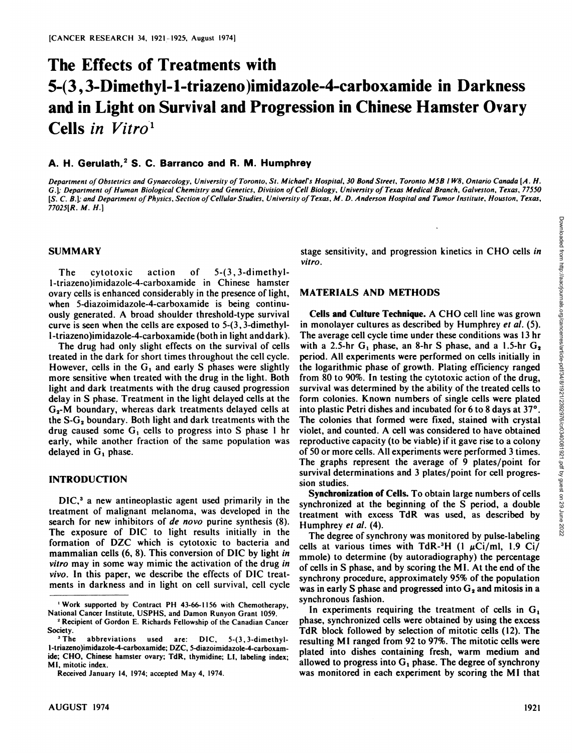# **The Effects of Treatments with 5-(3,3-IMmethyl-l-triazeno)imidazole-4-carboxainide in Darkness and in Light on Survival and Progression in Chinese Hamster Ovary Cells in Vitro1**

### A. H. Gerulath,<sup>2</sup> S. C. Barranco and R. M. Humphrey

Department of Obstetrics and Gynaecology, University of Toronto, St. Michael's Hospital, 30 Bond Street, Toronto M5B 1W8, Ontario Canada [A. H. G.]; Department of Human Biological Chemistry and Genetics, Division of Cell Biology, University of Texas Medical Branch, Galveston, Texas, 77550 [S. C. B.]; and Department of Physics, Section of Cellular Studies, University of Texas, M. D. Anderson Hospital and Tumor Institute, Houston, Texas, *77025[R. M. H.}*

#### **SUMMARY**

The cytotoxic action of 5-(3,3-dimethyll-triazeno)imidazole-4-carboxamide in Chinese hamster ovary cells is enhanced considerably in the presence of light, when 5-diazoimidazole-4-carboxamide is being continu ously generated. A broad shoulder threshold-type survival curve is seen when the cells are exposed to 5-(3,3-dimethyll-triazeno)imidazole-4-carboxamide (both in light anddark).

The drug had only slight effects on the survival of cells treated in the dark for short times throughout the cell cycle. However, cells in the  $G_1$  and early S phases were slightly more sensitive when treated with the drug in the light. Both light and dark treatments with the drug caused progression delay in S phase. Treatment in the light delayed cells at the  $G<sub>2</sub>$ -M boundary, whereas dark treatments delayed cells at the  $S-G<sub>2</sub>$  boundary. Both light and dark treatments with the drug caused some  $G_1$  cells to progress into S phase 1 hr early, while another fraction of the same population was delayed in  $G_1$  phase.

#### **INTRODUCTION**

DIC,<sup>3</sup> a new antineoplastic agent used primarily in the treatment of malignant melanoma, was developed in the search for new inhibitors of *de novo* purine synthesis (8). The exposure of DIC to light results initially in the formation of DZC which is cytotoxic to bacteria and mammalian cells (6, 8). This conversion of DIC by light in *vitro may in some way mimic the activation of the drug in vivo. In this paper, we describe the effects of DIC treat* ments in darkness and in light on cell survival, cell cycle *vitro.*

# **MATERIALS AND METHODS**

stage sensitivity, and progression kinetics in CHO cells in<br>vitro.<br>vitro.<br>MATERIALS AND METHODS<br>
Cells and Culture Technique. A CHO cell line was grown<br>
im monolayer cultures as described by Humphrey *et al.* (5).<br>
The av **Cells and Culture Technique. A CHO cell line was grown** in monolayer cultures as described by Humphrey et al. (5). The average cell cycle time under these conditions was 13 hr with a 2.5-hr  $G_1$  phase, an 8-hr S phase, and a 1.5-hr  $G_2$ period. All experiments were performed on cells initially in the logarithmic phase of growth. Plating efficiency ranged from 80 to 90%. In testing the cytotoxic action of the drug, survival was determined by the ability of the treated cells to form colonies. Known numbers of single cells were plated into plastic Petri dishes and incubated for 6 to 8 days at 37°. The colonies that formed were fixed, stained with crystal violet, and counted. A cell was considered to have obtained reproductive capacity (to be viable) if it gave rise to a colony of 50 or more cells. All experiments were performed 3 times. The graphs represent the average of 9 plates/point for survival determinations and 3 plates/point for cell progres sion studies.

**Synchronization of Cells. To obtain large numbers of cells** synchronized at the beginning of the S period, a double treatment with excess TdR was used, as described by Humphrey et al. (4). umphrey *et al.* (4).<br>The degree of synchrony was monitored by pulse-labeling

cells at various times with TdR-<sup>3</sup>H (1  $\mu$ Ci/ml, 1.9 Ci/ mmole) to determine (by autoradiography) the percentage of cells in S phase, and by scoring the MI. At the end of the synchrony procedure, approximately 95% of the population was in early S phase and progressed into  $G_2$  and mitosis in a synchronous fashion.

In experiments requiring the treatment of cells in  $G_1$ . phase, synchronized cells were obtained by using the excess TdR block followed by selection of mitotic cells (12). The resulting MI ranged from 92 to 97%. The mitotic cells were plated into dishes containing fresh, warm medium and allowed to progress into  $G_1$  phase. The degree of synchrony was monitored in each experiment by scoring the MI that

<sup>&#</sup>x27;Work supported by Contract PH 43-66-1156 with Chemotherapy, National Cancer Institute, USPHS, and Damon Runyon Grant 1059.

*<sup>2</sup>Recipient of Gordon E. Richards Fellowship of the Canadian Cancer* Society.<br><sup>3</sup>The abbreviations used are: DIC, 5-(3,3-dimethyl-

l-triazeno)imidazole-4-carboxamide; DZC, 5-diazoimidazole-4-carboxamide; CHO, Chinese hamster ovary; TdR, thymidine; LI, labeling index; MI, mitotic index.

Received January 14,1974; accepted May 4, 1974.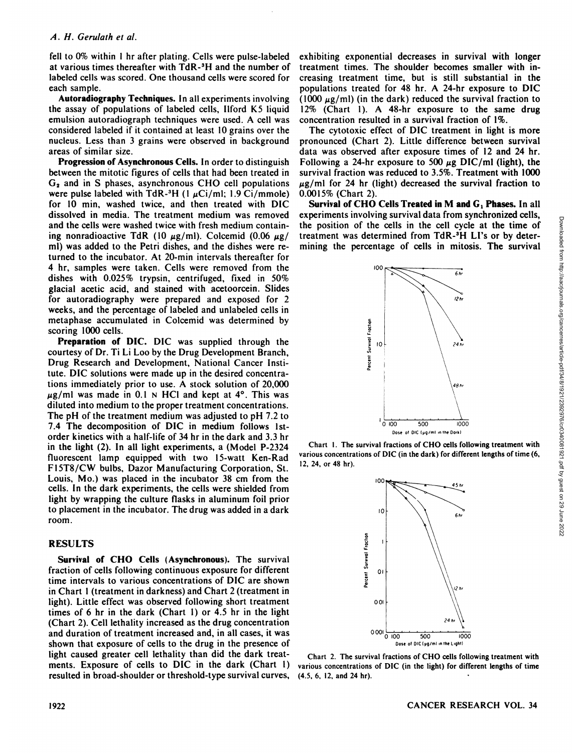fell to 0% within 1 hr after plating. Cells were pulse-labeled at various times thereafter with TdR-3H and the number of labeled cells was scored. One thousand cells were scored for each sample.

**AutoradiographyTechniques. In all experiments involving** the assay of populations of labeled cells, Ilford K5 liquid emulsion autoradiograph techniques were used. A cell was considered labeled if it contained at least 10 grains over the nucleus. Less than 3 grains were observed in background areas of similar size.

**Progression of AsynchronousCells. In order to distinguish** between the mitotic figures of cells that had been treated in  $G<sub>2</sub>$  and in S phases, asynchronous CHO cell populations were pulse labeled with TdR-<sup>3</sup>H (1  $\mu$ Ci/ml; 1.9 Ci/mmole) for 10 min, washed twice, and then treated with DIC dissolved in media. The treatment medium was removed and the cells were washed twice with fresh medium contain ing nonradioactive TdR (10  $\mu$ g/ml). Colcemid (0.06  $\mu$ g/ ml) was added to the Petri dishes, and the dishes were re turned to the incubator. At 20-min intervals thereafter for 4 hr, samples were taken. Cells were removed from the dishes with 0.025% trypsin, centrifuged, fixed in 50% glacial acetic acid, and stained with acetoorcein. Slides for autoradiography were prepared and exposed for 2 weeks, and the percentage of labeled and unlabeled cells in metaphase accumulated in Colcemid was determined by scoring 1000 cells.

**Preparation of DIC. DIC was supplied through the** courtesy of Dr. Ti Li Loo by the Drug Development Branch, Drug Research and Development, National Cancer Insti tute. DIC solutions were made up in the desired concentra tions immediately prior to use. A stock solution of 20,000  $\mu$ g/ml was made in 0.1 N HCl and kept at 4°. This was diluted into medium to the proper treatment concentrations. The pH of the treatment medium was adjusted to pH 7.2 to 7.4 The decomposition of DIC in medium follows Ist order kinetics with a half-life of 34 hr in the dark and 3.3 hr in the light (2). In all light experiments, a (Model P-2324 fluorescent lamp equipped with two 15-watt Ken-Rad F15T8/CW bulbs, Dazor Manufacturing Corporation, St. Louis, Mo.) was placed in the incubator 38 cm from the cells. In the dark experiments, the cells were shielded from light by wrapping the culture flasks in aluminum foil prior to placement in the incubator. The drug was added in a dark room.

# **RESULTS**

**Survival of CHO Cells (Asynchronous). The survival** fraction of cells following continuous exposure for different time intervals to various concentrations of DIC are shown in Chart 1(treatment in darkness) and Chart 2 (treatment in light). Little effect was observed following short treatment times of 6 hr in the dark (Chart 1) or  $4.5$  hr in the light (Chart 2). Cell lethality increased as the drug concentration and duration of treatment increased and, in all cases, it was shown that exposure of cells to the drug in the presence of light caused greater cell lethality than did the dark treat ments. Exposure of cells to DIC in the dark (Chart 1) resulted in broad-shoulder or threshold-type survival curves.

exhibiting exponential decreases in survival with longer treatment times. The shoulder becomes smaller with in creasing treatment time, but is still substantial in the populations treated for 48 hr. A 24-hr exposure to DIC (1000  $\mu$ g/ml) (in the dark) reduced the survival fraction to 12% (Chart 1). A 48-hr exposure to the same drug concentration resulted in a survival fraction of 1%.

The cytotoxic effect of DIC treatment in light is more pronounced (Chart 2). Little difference between survival data was observed after exposure times of 12 and 24 hr. Following a 24-hr exposure to 500  $\mu$ g DIC/ml (light), the survival fraction was reduced to 3.5%. Treatment with 1000  $\mu$ g/ml for 24 hr (light) decreased the survival fraction to 0.0015% (Chart 2).

**Survivalof CHO Cells Treated in M andG, Phases. In all** the position of the cells in the cell cycle at the time of treatment was determined from TdR-3H Li's or by deter mining the percentage of cells in mitosis. The survival



Chart I. The survival fractions of CHO cells following treatment with various concentrations of DIC (in the dark) for different lengths of time (6, 12, 24, or 48 hr).



Chart 2. The survival fractions of CHO cells following treatment with various concentrations of DIC (in the light) for different lengths of time (4.5, 6, 12, and 24 hr).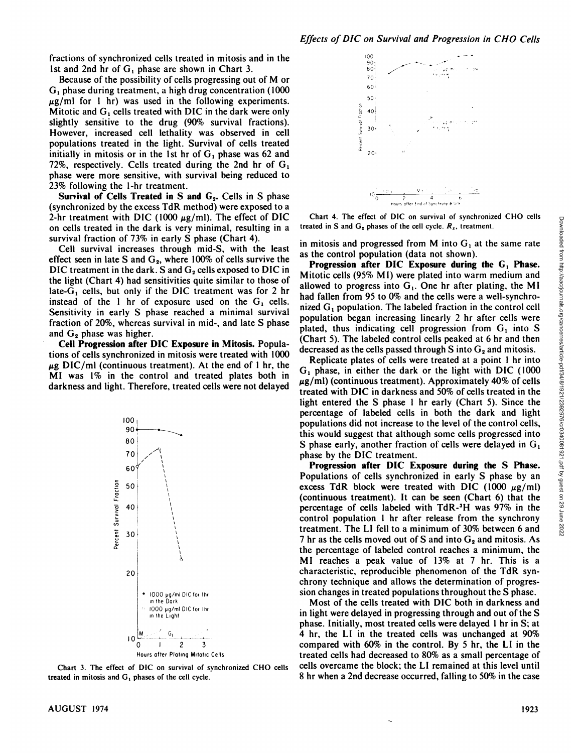fractions of synchronized cells treated in mitosis and in the 1st and 2nd hr of  $G_1$  phase are shown in Chart 3.

Because of the possibility of cells progressing out of M or  $G<sub>1</sub>$  phase during treatment, a high drug concentration (1000)  $\mu$ g/ml for 1 hr) was used in the following experiments. Mitotic and  $G_1$  cells treated with DIC in the dark were only slightly sensitive to the drug (90% survival fractions). However, increased cell lethality was observed in cell populations treated in the light. Survival of cells treated initially in mitosis or in the 1st hr of  $G_1$  phase was 62 and 72%, respectively. Cells treated during the 2nd hr of  $G_1$ phase were more sensitive, with survival being reduced to 23% following the 1-hr treatment.

Survival of Cells Treated in S and G<sub>2</sub>. Cells in S phase (synchronized by the excess TdR method) were exposed to a 2-hr treatment with DIC (1000  $\mu$ g/ml). The effect of DIC on cells treated in the dark is very minimal, resulting in a survival fraction of 73% in early S phase (Chart 4).

Cell survival increases through mid-S, with the least effect seen in late S and  $G_2$ , where 100% of cells survive the DIC treatment in the dark. S and G<sub>2</sub> cells exposed to DIC in the light (Chart 4) had sensitivities quite similar to those of late- $G_1$  cells, but only if the DIC treatment was for 2 hr instead of the 1 hr of exposure used on the  $G_1$  cells. Sensitivity in early S phase reached a minimal survival fraction of 20%, whereas survival in mid-, and late S phase and  $G_2$  phase was higher.

Cell Progression after DIC Exposure in Mitosis. Populations of cells synchronized in mitosis were treated with 1000  $\mu$ g DIC/ml (continuous treatment). At the end of 1 hr, the MI was 1% in the control and treated plates both in darkness and light. Therefore, treated cells were not delayed



Chart 3. The effect of DIC on survival of synchronized CHO cells treated in mitosis and  $G_1$  phases of the cell cycle.



Chart 4. The effect of DIC on survival of synchronized CHO cells treated in S and  $G_2$  phases of the cell cycle.  $R_x$ , treatment.

in mitosis and progressed from M into  $G_1$  at the same rate as the control population (data not shown).

Progression after DIC Exposure during the G<sub>1</sub> Phase. Mitotic cells (95% MI) were plated into warm medium and allowed to progress into  $G_1$ . One hr after plating, the MI had fallen from 95 to 0% and the cells were a well-synchronized  $G_1$  population. The labeled fraction in the control cell population began increasing linearly 2 hr after cells were plated, thus indicating cell progression from  $G_1$  into S (Chart 5). The labeled control cells peaked at 6 hr and then decreased as the cells passed through S into  $G_2$  and mitosis.

Replicate plates of cells were treated at a point 1 hr into G<sub>1</sub> phase, in either the dark or the light with DIC (1000  $\mu$ g/ml) (continuous treatment). Approximately 40% of cells treated with DIC in darkness and 50% of cells treated in the light entered the S phase 1 hr early (Chart 5). Since the percentage of labeled cells in both the dark and light populations did not increase to the level of the control cells, this would suggest that although some cells progressed into S phase early, another fraction of cells were delayed in  $G_1$ phase by the DIC treatment.

Progression after DIC Exposure during the S Phase. Populations of cells synchronized in early S phase by an excess TdR block were treated with DIC (1000  $\mu$ g/ml) (continuous treatment). It can be seen (Chart 6) that the percentage of cells labeled with TdR-<sup>3</sup>H was 97% in the control population 1 hr after release from the synchrony treatment. The LI fell to a minimum of 30% between 6 and 7 hr as the cells moved out of S and into  $G_2$  and mitosis. As the percentage of labeled control reaches a minimum, the MI reaches a peak value of 13% at 7 hr. This is a characteristic, reproducible phenomenon of the TdR synchrony technique and allows the determination of progression changes in treated populations throughout the S phase.

Most of the cells treated with DIC both in darkness and in light were delayed in progressing through and out of the S phase. Initially, most treated cells were delayed 1 hr in S; at 4 hr, the LI in the treated cells was unchanged at 90% compared with 60% in the control. By 5 hr, the LI in the treated cells had decreased to 80% as a small percentage of cells overcame the block; the LI remained at this level until 8 hr when a 2nd decrease occurred, falling to 50% in the case

1923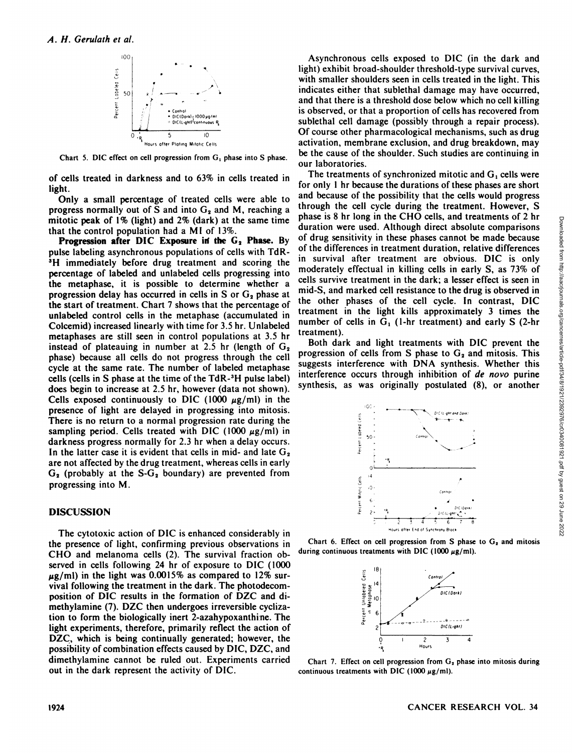

Chart 5. DIC effect on cell progression from  $G_1$  phase into S phase.

of cells treated in darkness and to 63% in cells treated in light.

Only a small percentage of treated cells were able to progress normally out of S and into  $G_2$  and M, reaching a mitotic peak of 1% (light) and 2% (dark) at the same time that the control population had a MI of 13%.

**Progression after DIG Exposure irf the G2 Phase. By** pulse labeling asynchronous populations of cells with TdR-3H immediately before drug treatment and scoring the percentage of labeled and unlabeled cells progressing into the metaphase, it is possible to determine whether a progression delay has occurred in cells in S or  $G_2$  phase at the start of treatment. Chart 7 shows that the percentage of unlabeled control cells in the metaphase (accumulated in Colcemid) increased linearly with time for 3.5 hr. Unlabeled metaphases are still seen in control populations at 3.5 hr instead of plateauing in number at 2.5 hr (length of  $G_2$ phase) because all cells do not progress through the cell cycle at the same rate. The number of labeled metaphase cells (cells in S phase at the time of the TdR-3H pulse label) does begin to increase at 2.5 hr, however (data not shown). Cells exposed continuously to DIC (1000  $\mu$ g/ml) in the presence of light are delayed in progressing into mitosis. There is no return to a normal progression rate during the sampling period. Cells treated with DIC (1000  $\mu$ g/ml) in darkness progress normally for 2.3 hr when a delay occurs. In the latter case it is evident that cells in mid- and late  $G_2$ are not affected by the drug treatment, whereas cells in early  $G_2$  (probably at the S- $G_2$  boundary) are prevented from progressing into M.

## **DISCUSSION**

The cytotoxic action of DIC is enhanced considerably in the presence of light, confirming previous observations in CHO and melanoma cells (2). The survival fraction ob served in cells following 24 hr of exposure to DIC (1000)  $\mu$ g/ml) in the light was 0.0015% as compared to 12% survival following the treatment in the dark. The photodecomposition of DIC results in the formation of DZC and dimethylamine (7). DZC then undergoes irreversible cyclization to form the biologically inert 2-azahypoxanthine. The light experiments, therefore, primarily reflect the action of DZC, which is being continually generated; however, the possibility of combination effects caused by DIC, DZC, and dimethylamine cannot be ruled out. Experiments carried out in the dark represent the activity of DIC.

Asynchronous cells exposed to DIC (in the dark and light) exhibit broad-shoulder threshold-type survival curves, with smaller shoulders seen in cells treated in the light. This indicates either that sublethal damage may have occurred, and that there is a threshold dose below which no cellkilling is observed, or that a proportion of cells has recovered from sublethal cell damage (possibly through a repair process). Of course other pharmacological mechanisms, such as drug activation, membrane exclusion, and drug breakdown, may be the cause of the shoulder. Such studies are continuing in our laboratories.

The treatments of synchronized mitotic and  $G_1$  cells were for only 1 hr because the durations of these phases are short and because of the possibility that the cells would progress through the cell cycle during the treatment. However, S phase is 8 hr long in the CHO cells, and treatments of 2 hr duration were used. Although direct absolute comparisons of the differences in treatment duration, relative differences in survival after treatment are obvious. duration were used. Although direct absolute comparisons of drug sensitivity in these phases cannot be made because of the differences in treatment duration, relative differences in survival after treatment are obvious. DIC is only moderately effectual in killing cells in early S, as 73% of cells survive treatment in the dark; a lesser effect is seen in mid-S, and marked cell resistance to the drug is observed in the other phases of the cell cycle. In contrast, DIC treatment in the light kills approximately 3 times the number of cells in  $G_1$  (1-hr treatment) and early S (2-hr treatment).

Both dark and light treatments with DIC prevent the progression of cells from S phase to  $G_2$  and mitosis. This suggests interference with DNA synthesis. Whether this interference occurs through inhibition of de novo purine synthesis, as was originally postulated (8), or another



Chart 6. Effect on cell progression from S phase to  $G_2$  and mitosis during continuous treatments with DIC (1000  $\mu$ g/ml).



Chart 7. Effect on cell progression from  $G_2$  phase into mitosis during continuous treatments with DIC (1000  $\mu$ g/ml).